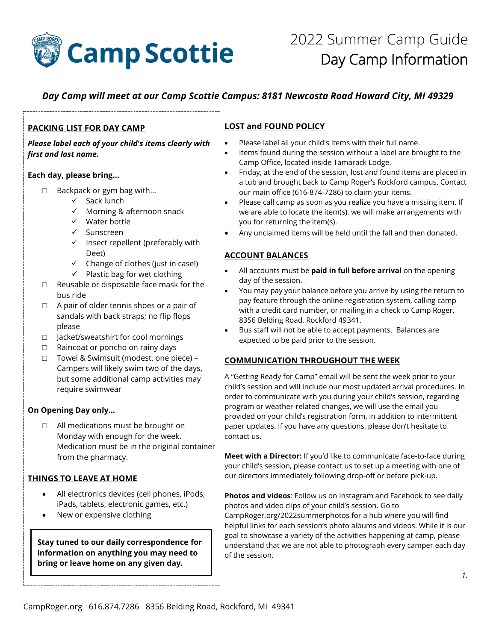

# *Day Camp will meet at our Camp Scottie Campus: 8181 Newcosta Road Howard City, MI 49329*

### **PACKING LIST FOR DAY CAMP**

*Please label each of your child's items clearly with first and last name.* 

#### **Each day, please bring…**

- □ Backpack or gym bag with...
	- ✓ Sack lunch
	- ✓ Morning & afternoon snack
	- ✓ Water bottle
	- ✓ Sunscreen
	- ✓ Insect repellent (preferably with Deet)
	- $\checkmark$  Change of clothes (just in case!)
	- $\checkmark$  Plastic bag for wet clothing
- □ Reusable or disposable face mask for the bus ride
- $\Box$  A pair of older tennis shoes or a pair of sandals with back straps; no flip flops please
- □ Jacket/sweatshirt for cool mornings
- □ Raincoat or poncho on rainy days
- □ Towel & Swimsuit (modest, one piece) Campers will likely swim two of the days, but some additional camp activities may require swimwear

### **On Opening Day only…**

□ All medications must be brought on Monday with enough for the week. Medication must be in the original container from the pharmacy.

# **THINGS TO LEAVE AT HOME**

- All electronics devices (cell phones, iPods, iPads, tablets, electronic games, etc.)
- New or expensive clothing

**Stay tuned to our daily correspondence for information on anything you may need to bring or leave home on any given day.**

# **LOST and FOUND POLICY**

- Please label all your child's items with their full name.
- Items found during the session without a label are brought to the Camp Office, located inside Tamarack Lodge.
- Friday, at the end of the session, lost and found items are placed in a tub and brought back to Camp Roger's Rockford campus. Contact our main office (616-874-7286) to claim your items.
- Please call camp as soon as you realize you have a missing item. If we are able to locate the item(s), we will make arrangements with you for returning the item(s).
- Any unclaimed items will be held until the fall and then donated.

# **ACCOUNT BALANCES**

- All accounts must be **paid in full before arrival** on the opening day of the session.
- You may pay your balance before you arrive by using the return to pay feature through the online registration system, calling camp with a credit card number, or mailing in a check to Camp Roger, 8356 Belding Road, Rockford 49341.
- Bus staff will not be able to accept payments. Balances are expected to be paid prior to the session.

### **COMMUNICATION THROUGHOUT THE WEEK**

A "Getting Ready for Camp" email will be sent the week prior to your child's session and will include our most updated arrival procedures. In order to communicate with you during your child's session, regarding program or weather-related changes, we will use the email you provided on your child's registration form, in addition to intermittent paper updates. If you have any questions, please don't hesitate to contact us.

**Meet with a Director:** If you'd like to communicate face-to-face during your child's session, please contact us to set up a meeting with one of our directors immediately following drop-off or before pick-up.

**Photos and videos**: Follow us on Instagram and Facebook to see daily photos and video clips of your child's session. Go to CampRoger.org/2022summerphotos for a hub where you will find helpful links for each session's photo albums and videos. While it is our goal to showcase a variety of the activities happening at camp, please understand that we are not able to photograph every camper each day of the session.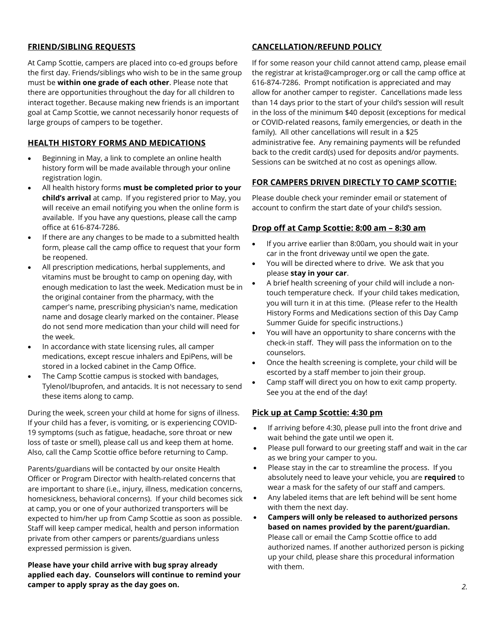### **FRIEND/SIBLING REQUESTS**

At Camp Scottie, campers are placed into co-ed groups before the first day. Friends/siblings who wish to be in the same group must be **within one grade of each other**. Please note that there are opportunities throughout the day for all children to interact together. Because making new friends is an important goal at Camp Scottie, we cannot necessarily honor requests of large groups of campers to be together.

### **HEALTH HISTORY FORMS AND MEDICATIONS**

- Beginning in May, a link to complete an online health history form will be made available through your online registration login.
- All health history forms **must be completed prior to your child's arrival** at camp. If you registered prior to May, you will receive an email notifying you when the online form is available. If you have any questions, please call the camp office at 616-874-7286.
- If there are any changes to be made to a submitted health form, please call the camp office to request that your form be reopened.
- All prescription medications, herbal supplements, and vitamins must be brought to camp on opening day, with enough medication to last the week. Medication must be in the original container from the pharmacy, with the camper's name, prescribing physician's name, medication name and dosage clearly marked on the container. Please do not send more medication than your child will need for the week.
- In accordance with state licensing rules, all camper medications, except rescue inhalers and EpiPens, will be stored in a locked cabinet in the Camp Office.
- The Camp Scottie campus is stocked with bandages, Tylenol/Ibuprofen, and antacids. It is not necessary to send these items along to camp.

During the week, screen your child at home for signs of illness. If your child has a fever, is vomiting, or is experiencing COVID-19 symptoms (such as fatigue, headache, sore throat or new loss of taste or smell), please call us and keep them at home. Also, call the Camp Scottie office before returning to Camp.

Parents/guardians will be contacted by our onsite Health Officer or Program Director with health-related concerns that are important to share (i.e., injury, illness, medication concerns, homesickness, behavioral concerns). If your child becomes sick at camp, you or one of your authorized transporters will be expected to him/her up from Camp Scottie as soon as possible. Staff will keep camper medical, health and person information private from other campers or parents/guardians unless expressed permission is given.

**Please have your child arrive with bug spray already applied each day. Counselors will continue to remind your camper to apply spray as the day goes on.**

### **CANCELLATION/REFUND POLICY**

If for some reason your child cannot attend camp, please email the registrar at krista@camproger.org or call the camp office at 616-874-7286. Prompt notification is appreciated and may allow for another camper to register. Cancellations made less than 14 days prior to the start of your child's session will result in the loss of the minimum \$40 deposit (exceptions for medical or COVID-related reasons, family emergencies, or death in the family). All other cancellations will result in a \$25 administrative fee. Any remaining payments will be refunded back to the credit card(s) used for deposits and/or payments. Sessions can be switched at no cost as openings allow.

# **FOR CAMPERS DRIVEN DIRECTLY TO CAMP SCOTTIE:**

Please double check your reminder email or statement of account to confirm the start date of your child's session.

#### **Drop off at Camp Scottie: 8:00 am – 8:30 am**

- If you arrive earlier than 8:00am, you should wait in your car in the front driveway until we open the gate.
- You will be directed where to drive. We ask that you please **stay in your car**.
- A brief health screening of your child will include a nontouch temperature check. If your child takes medication, you will turn it in at this time. (Please refer to the Health History Forms and Medications section of this Day Camp Summer Guide for specific instructions.)
- You will have an opportunity to share concerns with the check-in staff. They will pass the information on to the counselors.
- Once the health screening is complete, your child will be escorted by a staff member to join their group.
- Camp staff will direct you on how to exit camp property. See you at the end of the day!

# **Pick up at Camp Scottie: 4:30 pm**

- If arriving before 4:30, please pull into the front drive and wait behind the gate until we open it.
- Please pull forward to our greeting staff and wait in the car as we bring your camper to you.
- Please stay in the car to streamline the process. If you absolutely need to leave your vehicle, you are **required** to wear a mask for the safety of our staff and campers.
- Any labeled items that are left behind will be sent home with them the next day.
- **Campers will only be released to authorized persons based on names provided by the parent/guardian.** Please call or email the Camp Scottie office to add authorized names. If another authorized person is picking up your child, please share this procedural information with them.